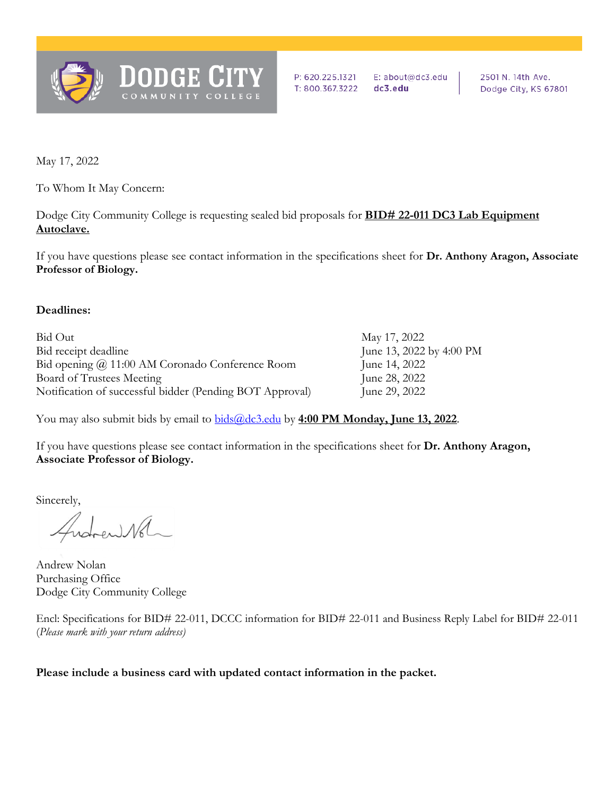

P: 620.225.1321 E: about@dc3.edu T: 800.367.3222 dc3.edu

2501 N. 14th Ave. Dodge City, KS 67801

May 17, 2022

To Whom It May Concern:

Dodge City Community College is requesting sealed bid proposals for **BID# 22-011 DC3 Lab Equipment Autoclave.** 

If you have questions please see contact information in the specifications sheet for **Dr. Anthony Aragon, Associate Professor of Biology.** 

### **Deadlines:**

| Bid Out                                                  | May 17, 2022             |
|----------------------------------------------------------|--------------------------|
| Bid receipt deadline                                     | June 13, 2022 by 4:00 PM |
| Bid opening @ 11:00 AM Coronado Conference Room          | June 14, 2022            |
| Board of Trustees Meeting                                | June 28, 2022            |
| Notification of successful bidder (Pending BOT Approval) | June 29, 2022            |

You may also submit bids by email to [bids@dc3.edu](mailto:bids@dc3.edu) by **4:00 PM Monday, June 13, 2022**.

If you have questions please see contact information in the specifications sheet for **Dr. Anthony Aragon, Associate Professor of Biology.** 

Sincerely,

ental

Andrew Nolan Purchasing Office Dodge City Community College

Encl: Specifications for BID# 22-011, DCCC information for BID# 22-011 and Business Reply Label for BID# 22-011 (*Please mark with your return address)*

**Please include a business card with updated contact information in the packet.**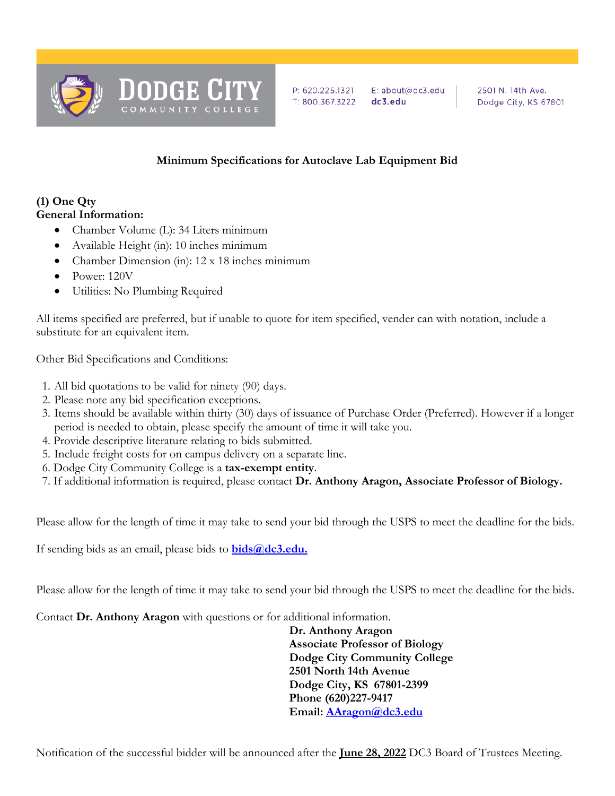

### **Minimum Specifications for Autoclave Lab Equipment Bid**

# **(1) One Qty**

## **General Information:**

- Chamber Volume (L): 34 Liters minimum
- Available Height (in): 10 inches minimum
- Chamber Dimension (in): 12 x 18 inches minimum
- Power: 120V
- Utilities: No Plumbing Required

All items specified are preferred, but if unable to quote for item specified, vender can with notation, include a substitute for an equivalent item.

Other Bid Specifications and Conditions:

- 1. All bid quotations to be valid for ninety (90) days.
- 2. Please note any bid specification exceptions.
- 3. Items should be available within thirty (30) days of issuance of Purchase Order (Preferred). However if a longer period is needed to obtain, please specify the amount of time it will take you.
- 4. Provide descriptive literature relating to bids submitted.
- 5. Include freight costs for on campus delivery on a separate line.
- 6. Dodge City Community College is a **tax-exempt entity**.
- 7. If additional information is required, please contact **Dr. Anthony Aragon, Associate Professor of Biology.**

Please allow for the length of time it may take to send your bid through the USPS to meet the deadline for the bids.

If sending bids as an email, please bids to **[bids@dc3.edu.](mailto:stores@dc3.edu)**

Please allow for the length of time it may take to send your bid through the USPS to meet the deadline for the bids.

Contact **Dr. Anthony Aragon** with questions or for additional information.

 **Dr. Anthony Aragon Associate Professor of Biology Dodge City Community College 2501 North 14th Avenue Dodge City, KS 67801-2399 Phone (620)227-9417 Email: [AAragon@dc3.edu](mailto:rshean@dc3.edu)**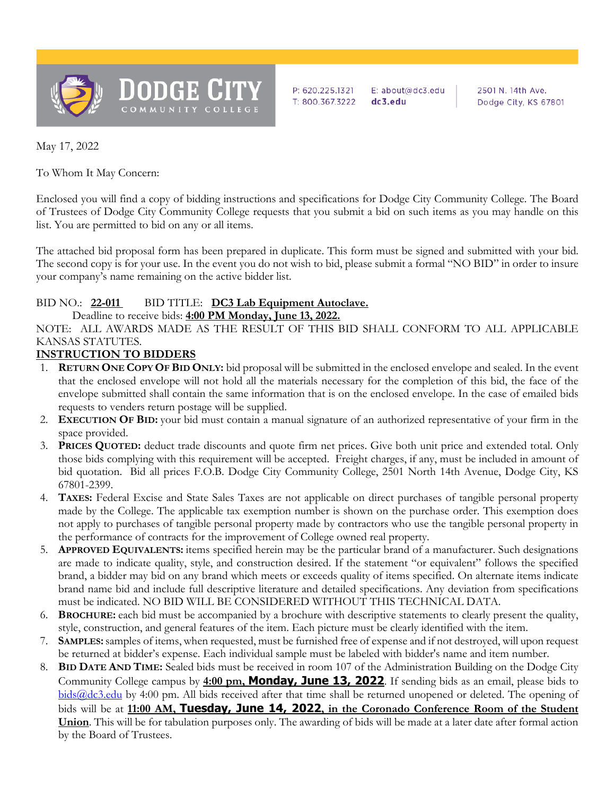

P: 620.225.1321 E: about@dc3.edu T: 800.367.3222 dc3.edu

2501 N. 14th Ave. Dodge City, KS 67801

May 17, 2022

To Whom It May Concern:

Enclosed you will find a copy of bidding instructions and specifications for Dodge City Community College. The Board of Trustees of Dodge City Community College requests that you submit a bid on such items as you may handle on this list. You are permitted to bid on any or all items.

The attached bid proposal form has been prepared in duplicate. This form must be signed and submitted with your bid. The second copy is for your use. In the event you do not wish to bid, please submit a formal "NO BID" in order to insure your company's name remaining on the active bidder list.

#### BID NO.: **22-011** BID TITLE: **DC3 Lab Equipment Autoclave.**

#### Deadline to receive bids: **4:00 PM Monday, June 13, 2022.**

NOTE: ALL AWARDS MADE AS THE RESULT OF THIS BID SHALL CONFORM TO ALL APPLICABLE KANSAS STATUTES.

### **INSTRUCTION TO BIDDERS**

- 1. **RETURN ONE COPY OF BID ONLY:** bid proposal will be submitted in the enclosed envelope and sealed. In the event that the enclosed envelope will not hold all the materials necessary for the completion of this bid, the face of the envelope submitted shall contain the same information that is on the enclosed envelope. In the case of emailed bids requests to venders return postage will be supplied.
- 2. **EXECUTION OF BID:** your bid must contain a manual signature of an authorized representative of your firm in the space provided.
- 3. **PRICES QUOTED:** deduct trade discounts and quote firm net prices. Give both unit price and extended total. Only those bids complying with this requirement will be accepted. Freight charges, if any, must be included in amount of bid quotation. Bid all prices F.O.B. Dodge City Community College, 2501 North 14th Avenue, Dodge City, KS 67801-2399.
- 4. **TAXES:** Federal Excise and State Sales Taxes are not applicable on direct purchases of tangible personal property made by the College. The applicable tax exemption number is shown on the purchase order. This exemption does not apply to purchases of tangible personal property made by contractors who use the tangible personal property in the performance of contracts for the improvement of College owned real property.
- 5. **APPROVED EQUIVALENTS:** items specified herein may be the particular brand of a manufacturer. Such designations are made to indicate quality, style, and construction desired. If the statement "or equivalent" follows the specified brand, a bidder may bid on any brand which meets or exceeds quality of items specified. On alternate items indicate brand name bid and include full descriptive literature and detailed specifications. Any deviation from specifications must be indicated. NO BID WILL BE CONSIDERED WITHOUT THIS TECHNICAL DATA.
- 6. **BROCHURE:** each bid must be accompanied by a brochure with descriptive statements to clearly present the quality, style, construction, and general features of the item. Each picture must be clearly identified with the item.
- 7. **SAMPLES:**samples of items, when requested, must be furnished free of expense and if not destroyed, will upon request be returned at bidder's expense. Each individual sample must be labeled with bidder's name and item number.
- 8. **BID DATE AND TIME:** Sealed bids must be received in room 107 of the Administration Building on the Dodge City Community College campus by **4:00 pm, Monday, June 13, 2022**. If sending bids as an email, please bids to [bids@dc3.edu](mailto:stores@dc3.edu) by 4:00 pm. All bids received after that time shall be returned unopened or deleted. The opening of bids will be at **11:00 AM, Tuesday, June 14, 2022, in the Coronado Conference Room of the Student Union**. This will be for tabulation purposes only. The awarding of bids will be made at a later date after formal action by the Board of Trustees.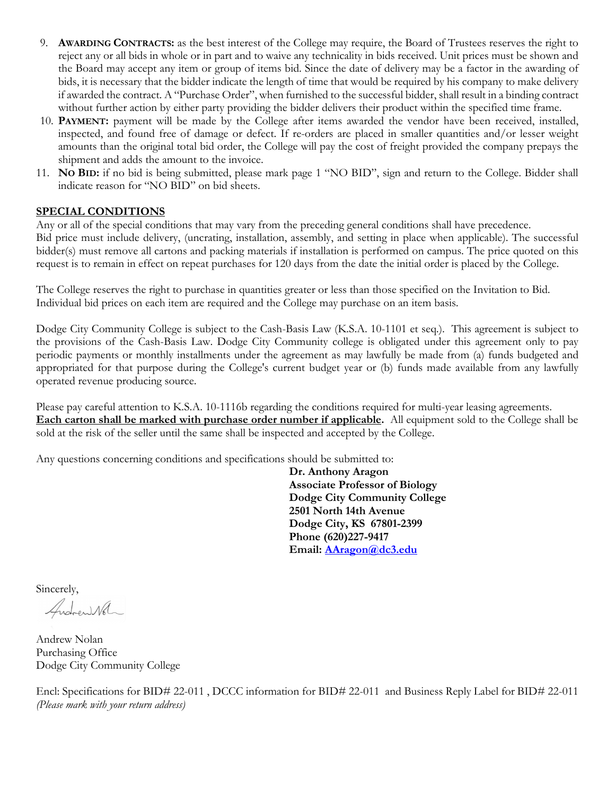- 9. **AWARDING CONTRACTS:** as the best interest of the College may require, the Board of Trustees reserves the right to reject any or all bids in whole or in part and to waive any technicality in bids received. Unit prices must be shown and the Board may accept any item or group of items bid. Since the date of delivery may be a factor in the awarding of bids, it is necessary that the bidder indicate the length of time that would be required by his company to make delivery if awarded the contract. A "Purchase Order", when furnished to the successful bidder, shall result in a binding contract without further action by either party providing the bidder delivers their product within the specified time frame.
- 10. **PAYMENT:** payment will be made by the College after items awarded the vendor have been received, installed, inspected, and found free of damage or defect. If re-orders are placed in smaller quantities and/or lesser weight amounts than the original total bid order, the College will pay the cost of freight provided the company prepays the shipment and adds the amount to the invoice.
- 11. **NO BID:** if no bid is being submitted, please mark page 1 "NO BID", sign and return to the College. Bidder shall indicate reason for "NO BID" on bid sheets.

### **SPECIAL CONDITIONS**

Any or all of the special conditions that may vary from the preceding general conditions shall have precedence. Bid price must include delivery, (uncrating, installation, assembly, and setting in place when applicable). The successful bidder(s) must remove all cartons and packing materials if installation is performed on campus. The price quoted on this request is to remain in effect on repeat purchases for 120 days from the date the initial order is placed by the College.

The College reserves the right to purchase in quantities greater or less than those specified on the Invitation to Bid. Individual bid prices on each item are required and the College may purchase on an item basis.

Dodge City Community College is subject to the Cash-Basis Law (K.S.A. 10-1101 et seq.). This agreement is subject to the provisions of the Cash-Basis Law. Dodge City Community college is obligated under this agreement only to pay periodic payments or monthly installments under the agreement as may lawfully be made from (a) funds budgeted and appropriated for that purpose during the College's current budget year or (b) funds made available from any lawfully operated revenue producing source.

Please pay careful attention to K.S.A. 10-1116b regarding the conditions required for multi-year leasing agreements. **Each carton shall be marked with purchase order number if applicable.** All equipment sold to the College shall be sold at the risk of the seller until the same shall be inspected and accepted by the College.

Any questions concerning conditions and specifications should be submitted to:

 **Dr. Anthony Aragon Associate Professor of Biology Dodge City Community College 2501 North 14th Avenue Dodge City, KS 67801-2399 Phone (620)227-9417 Email: [AAragon@dc3.edu](mailto:rshean@dc3.edu)**

Sincerely,<br>*Andrew* Wol

Andrew Nolan Purchasing Office Dodge City Community College

Encl: Specifications for BID# 22-011 , DCCC information for BID# 22-011 and Business Reply Label for BID# 22-011 *(Please mark with your return address)*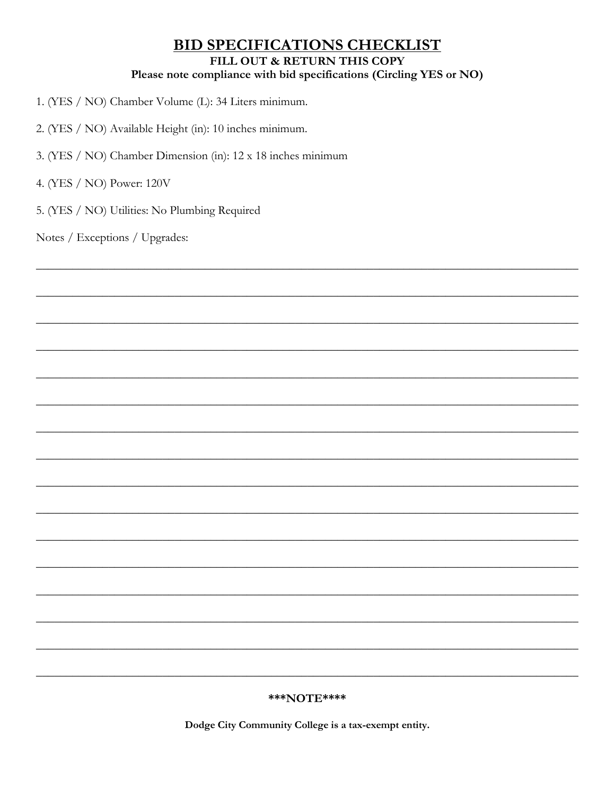# **BID SPECIFICATIONS CHECKLIST** FILL OUT & RETURN THIS COPY Please note compliance with bid specifications (Circling YES or NO)

- 1. (YES / NO) Chamber Volume (L): 34 Liters minimum.
- 2. (YES / NO) Available Height (in): 10 inches minimum.
- 3. (YES / NO) Chamber Dimension (in): 12 x 18 inches minimum
- 4. (YES / NO) Power: 120V
- 5. (YES / NO) Utilities: No Plumbing Required

Notes / Exceptions / Upgrades:

#### \*\*\*NOTE\*\*\*\*

Dodge City Community College is a tax-exempt entity.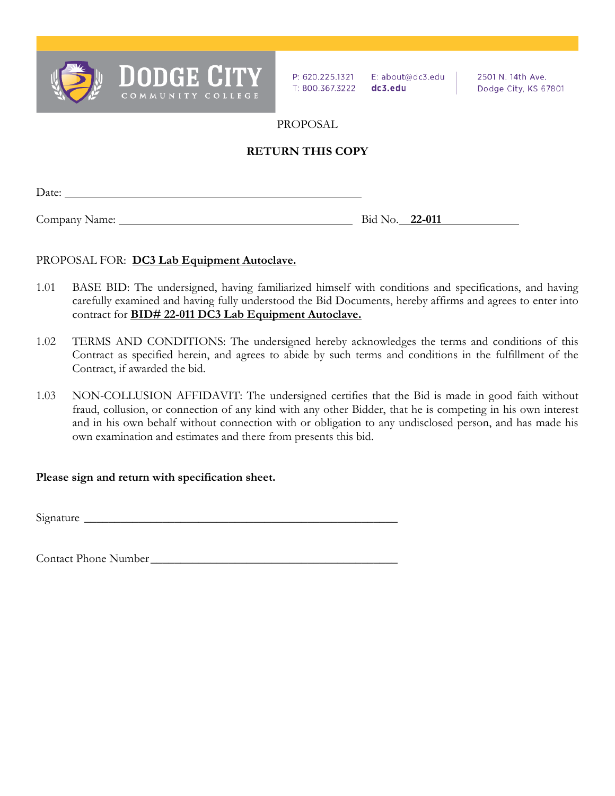

P: 620.225.1321 E: about@dc3.edu T: 800.367.3222 dc3.edu

2501 N. 14th Ave. Dodge City, KS 67801

PROPOSAL

### **RETURN THIS COPY**

Date:

Company Name: Bid No. **22-011** Bid No. **22-011** 

### PROPOSAL FOR: **DC3 Lab Equipment Autoclave.**

- 1.01 BASE BID: The undersigned, having familiarized himself with conditions and specifications, and having carefully examined and having fully understood the Bid Documents, hereby affirms and agrees to enter into contract for **BID# 22-011 DC3 Lab Equipment Autoclave.**
- 1.02 TERMS AND CONDITIONS: The undersigned hereby acknowledges the terms and conditions of this Contract as specified herein, and agrees to abide by such terms and conditions in the fulfillment of the Contract, if awarded the bid.
- 1.03 NON-COLLUSION AFFIDAVIT: The undersigned certifies that the Bid is made in good faith without fraud, collusion, or connection of any kind with any other Bidder, that he is competing in his own interest and in his own behalf without connection with or obligation to any undisclosed person, and has made his own examination and estimates and there from presents this bid.

### **Please sign and return with specification sheet.**

Signature \_\_\_\_\_\_\_\_\_\_\_\_\_\_\_\_\_\_\_\_\_\_\_\_\_\_\_\_\_\_\_\_\_\_\_\_\_\_\_\_\_\_\_\_\_\_\_\_\_\_\_\_

Contact Phone Number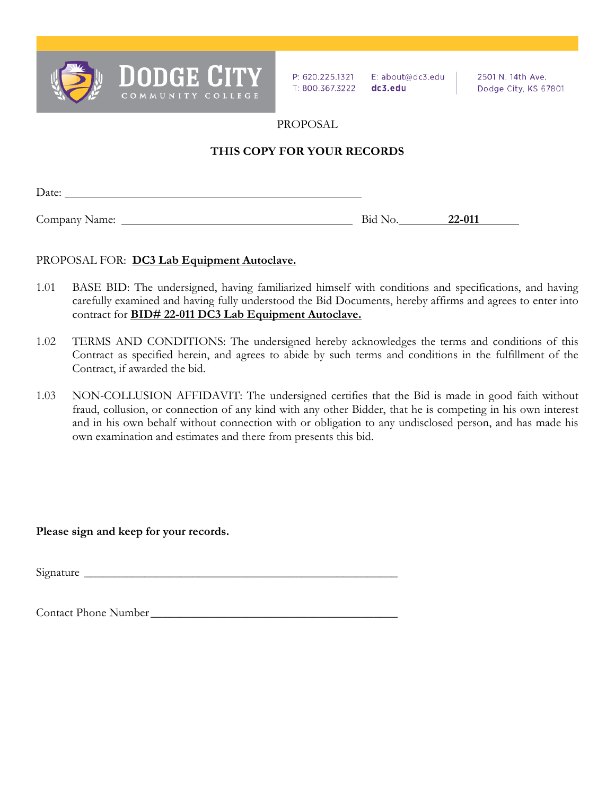

P: 620.225.1321 E: about@dc3.edu T: 800.367.3222 dc3.edu

2501 N. 14th Ave. Dodge City, KS 67801

PROPOSAL

### **THIS COPY FOR YOUR RECORDS**

| Date:         |         |        |
|---------------|---------|--------|
|               |         | 22-011 |
| Company Name: | Bid No. |        |

### PROPOSAL FOR: **DC3 Lab Equipment Autoclave.**

- 1.01 BASE BID: The undersigned, having familiarized himself with conditions and specifications, and having carefully examined and having fully understood the Bid Documents, hereby affirms and agrees to enter into contract for **BID# 22-011 DC3 Lab Equipment Autoclave.**
- 1.02 TERMS AND CONDITIONS: The undersigned hereby acknowledges the terms and conditions of this Contract as specified herein, and agrees to abide by such terms and conditions in the fulfillment of the Contract, if awarded the bid.
- 1.03 NON-COLLUSION AFFIDAVIT: The undersigned certifies that the Bid is made in good faith without fraud, collusion, or connection of any kind with any other Bidder, that he is competing in his own interest and in his own behalf without connection with or obligation to any undisclosed person, and has made his own examination and estimates and there from presents this bid.

**Please sign and keep for your records.** 

Signature

Contact Phone Number